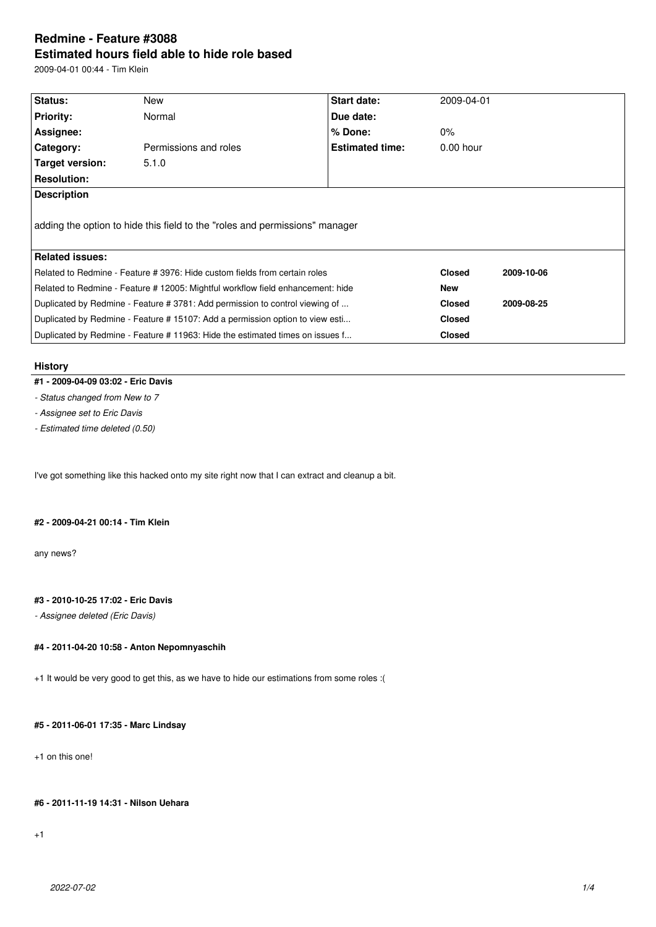# **Redmine - Feature #3088 Estimated hours field able to hide role based**

2009-04-01 00:44 - Tim Klein

| Status:                | New                                                                             | <b>Start date:</b>     | 2009-04-01    |            |
|------------------------|---------------------------------------------------------------------------------|------------------------|---------------|------------|
| <b>Priority:</b>       | Normal                                                                          | Due date:              |               |            |
| Assignee:              |                                                                                 | $%$ Done:              | $0\%$         |            |
| Category:              | Permissions and roles                                                           | <b>Estimated time:</b> | $0.00$ hour   |            |
| Target version:        | 5.1.0                                                                           |                        |               |            |
| <b>Resolution:</b>     |                                                                                 |                        |               |            |
| <b>Description</b>     |                                                                                 |                        |               |            |
|                        |                                                                                 |                        |               |            |
|                        | adding the option to hide this field to the "roles and permissions" manager     |                        |               |            |
| <b>Related issues:</b> |                                                                                 |                        |               |            |
|                        | Related to Redmine - Feature # 3976: Hide custom fields from certain roles      |                        | <b>Closed</b> | 2009-10-06 |
|                        | Related to Redmine - Feature # 12005: Mightful workflow field enhancement: hide |                        | <b>New</b>    |            |
|                        | Duplicated by Redmine - Feature # 3781: Add permission to control viewing of    |                        | <b>Closed</b> | 2009-08-25 |
|                        | Duplicated by Redmine - Feature # 15107: Add a permission option to view esti   |                        | <b>Closed</b> |            |

## **History**

- **#1 2009-04-09 03:02 Eric Davis**
- *Status changed from New to 7*

*- Assignee set to Eric Davis*

*- Estimated time deleted (0.50)*

I've got something like this hacked onto my site right now that I can extract and cleanup a bit.

#### **#2 - 2009-04-21 00:14 - Tim Klein**

any news?

## **#3 - 2010-10-25 17:02 - Eric Davis**

*- Assignee deleted (Eric Davis)*

## **#4 - 2011-04-20 10:58 - Anton Nepomnyaschih**

+1 It would be very good to get this, as we have to hide our estimations from some roles :(

#### **#5 - 2011-06-01 17:35 - Marc Lindsay**

+1 on this one!

#### **#6 - 2011-11-19 14:31 - Nilson Uehara**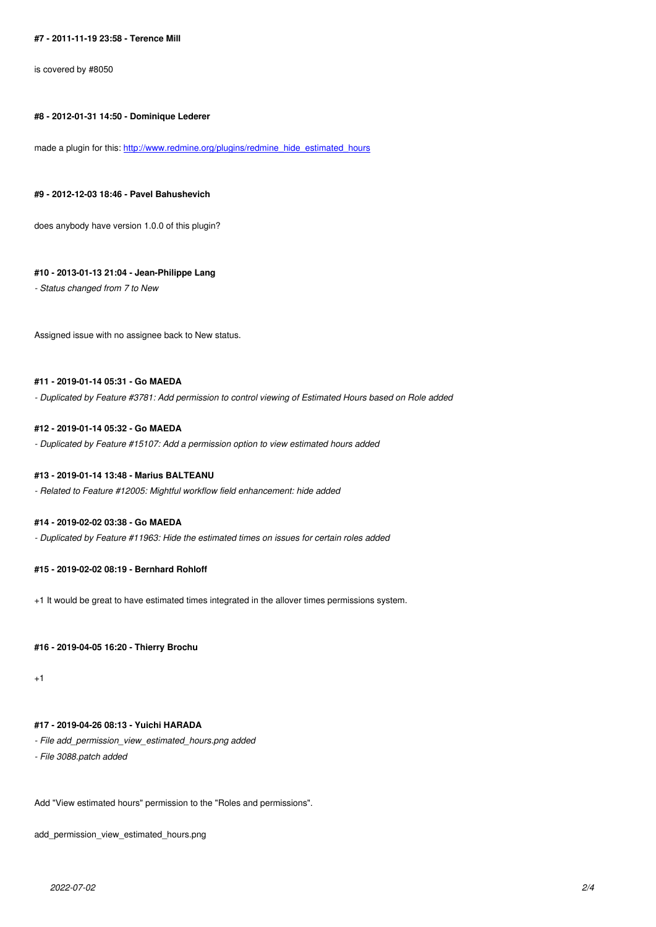#### **#8 - 2012-01-31 14:50 - Dominique Lederer**

made a plugin for this: http://www.redmine.org/plugins/redmine\_hide\_estimated\_hours

#### **#9 - 2012-12-03 18:46 [- Pavel Bahushevich](http://www.redmine.org/plugins/redmine_hide_estimated_hours)**

does anybody have version 1.0.0 of this plugin?

#### **#10 - 2013-01-13 21:04 - Jean-Philippe Lang**

*- Status changed from 7 to New*

Assigned issue with no assignee back to New status.

## **#11 - 2019-01-14 05:31 - Go MAEDA**

*- Duplicated by Feature #3781: Add permission to control viewing of Estimated Hours based on Role added*

#### **#12 - 2019-01-14 05:32 - Go MAEDA**

*- Duplicated by Feature #15107: Add a permission option to view estimated hours added*

#### **#13 - 2019-01-14 13:48 - Marius BALTEANU**

*- Related to Feature #12005: Mightful workflow field enhancement: hide added*

#### **#14 - 2019-02-02 03:38 - Go MAEDA**

*- Duplicated by Feature #11963: Hide the estimated times on issues for certain roles added*

#### **#15 - 2019-02-02 08:19 - Bernhard Rohloff**

+1 It would be great to have estimated times integrated in the allover times permissions system.

#### **#16 - 2019-04-05 16:20 - Thierry Brochu**

+1

## **#17 - 2019-04-26 08:13 - Yuichi HARADA**

- *File add\_permission\_view\_estimated\_hours.png added*
- *File 3088.patch added*

Add "View estimated hours" permission to the "Roles and permissions".

add\_permission\_view\_estimated\_hours.png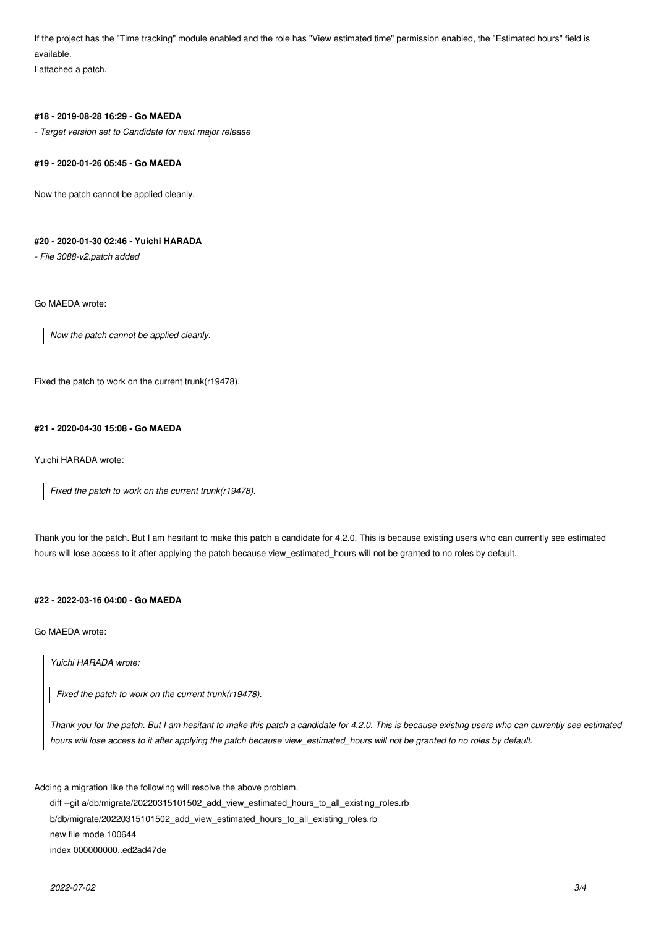If the project has the "Time tracking" module enabled and the role has "View estimated time" permission enabled, the "Estimated hours" field is available.

I attached a patch.

#### **#18 - 2019-08-28 16:29 - Go MAEDA**

*- Target version set to Candidate for next major release*

#### **#19 - 2020-01-26 05:45 - Go MAEDA**

Now the patch cannot be applied cleanly.

## **#20 - 2020-01-30 02:46 - Yuichi HARADA**

*- File 3088-v2.patch added*

Go MAEDA wrote:

*Now the patch cannot be applied cleanly.*

Fixed the patch to work on the current trunk(r19478).

#### **#21 - 2020-04-30 15:08 - Go MAEDA**

Yuichi HARADA wrote:

*Fixed the patch to work on the current trunk(r19478).*

Thank you for the patch. But I am hesitant to make this patch a candidate for 4.2.0. This is because existing users who can currently see estimated hours will lose access to it after applying the patch because view estimated hours will not be granted to no roles by default.

## **#22 - 2022-03-16 04:00 - Go MAEDA**

Go MAEDA wrote:

*Yuichi HARADA wrote:*

*Fixed the patch to work on the current trunk(r19478).*

*Thank you for the patch. But I am hesitant to make this patch a candidate for 4.2.0. This is because existing users who can currently see estimated hours will lose access to it after applying the patch because view\_estimated\_hours will not be granted to no roles by default.*

Adding a migration like the following will resolve the above problem.

diff --git a/db/migrate/20220315101502\_add\_view\_estimated\_hours\_to\_all\_existing\_roles.rb b/db/migrate/20220315101502\_add\_view\_estimated\_hours\_to\_all\_existing\_roles.rb new file mode 100644 index 000000000..ed2ad47de